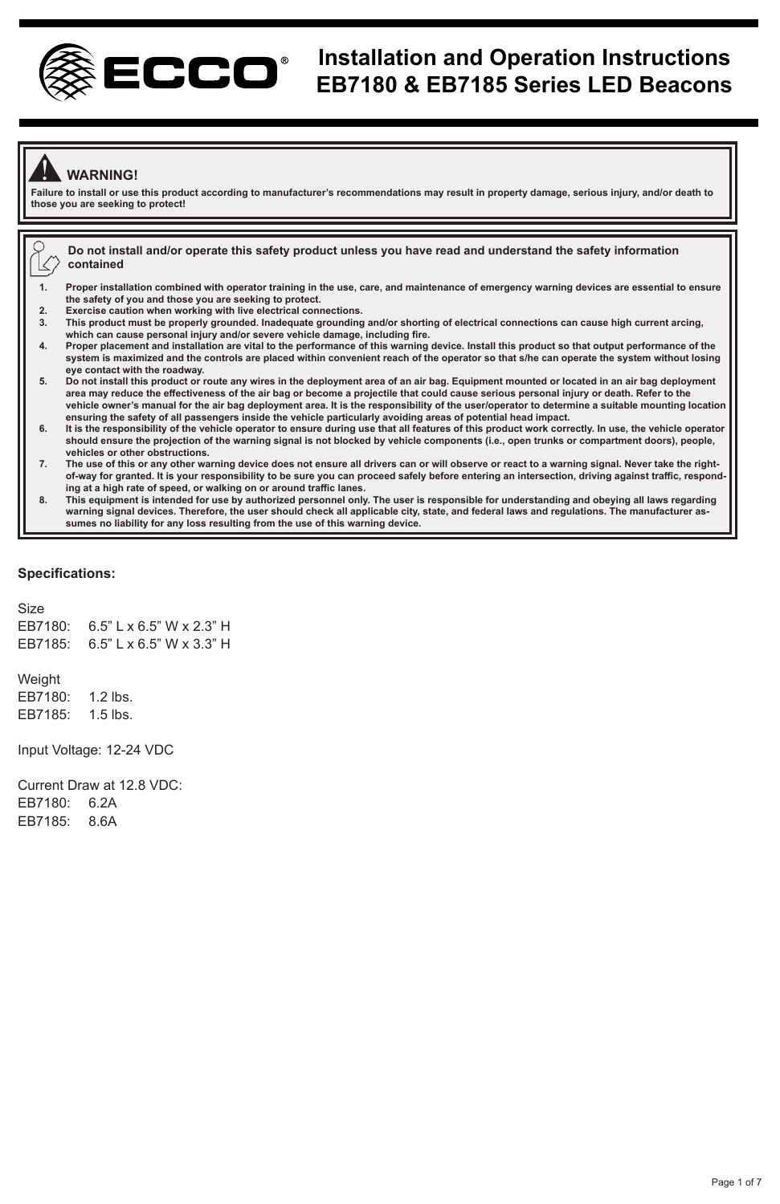

## **Installation and Operation Instructions EB7180 & EB7185 Series LED Beacons**

### ! **WARNING!**

**Failure to install or use this product according to manufacturer's recommendations may result in property damage, serious injury, and/or death to those you are seeking to protect!** 

**Do not install and/or operate this safety product unless you have read and understand the safety information** K **contained** 

- **1. Proper installation combined with operator training in the use, care, and maintenance of emergency warning devices are essential to ensure the safety of you and those you are seeking to protect.**
- **2. Exercise caution when working with live electrical connections.**
- **3. This product must be properly grounded. Inadequate grounding and/or shorting of electrical connections can cause high current arcing, which can cause personal injury and/or severe vehicle damage, including fire.**
- **4. Proper placement and installation are vital to the performance of this warning device. Install this product so that output performance of the system is maximized and the controls are placed within convenient reach of the operator so that s/he can operate the system without losing eye contact with the roadway.**
- **5. Do not install this product or route any wires in the deployment area of an air bag. Equipment mounted or located in an air bag deployment area may reduce the effectiveness of the air bag or become a projectile that could cause serious personal injury or death. Refer to the vehicle owner's manual for the air bag deployment area. It is the responsibility of the user/operator to determine a suitable mounting location ensuring the safety of all passengers inside the vehicle particularly avoiding areas of potential head impact.**
- **6. It is the responsibility of the vehicle operator to ensure during use that all features of this product work correctly. In use, the vehicle operator should ensure the projection of the warning signal is not blocked by vehicle components (i.e., open trunks or compartment doors), people, vehicles or other obstructions.**
- **7. The use of this or any other warning device does not ensure all drivers can or will observe or react to a warning signal. Never take the rightof-way for granted. It is your responsibility to be sure you can proceed safely before entering an intersection, driving against traffic, responding at a high rate of speed, or walking on or around traffic lanes.**
- 8. This equipment is intended for use by authorized personnel only. The user is responsible for understanding and obeying all laws regarding<br>- warning signal devices. Therefore, the user should check all applicable city, s **sumes no liability for any loss resulting from the use of this warning device.**

#### **Specifications:**

Size EB7180: 6.5" L x 6.5" W x 2.3" H EB7185: 6.5" L x 6.5" W x 3.3" H

Weight EB7180: 1.2 lbs. EB7185: 1.5 lbs.

Input Voltage: 12-24 VDC

Current Draw at 12.8 VDC: EB7180: 6.2A EB7185: 8.6A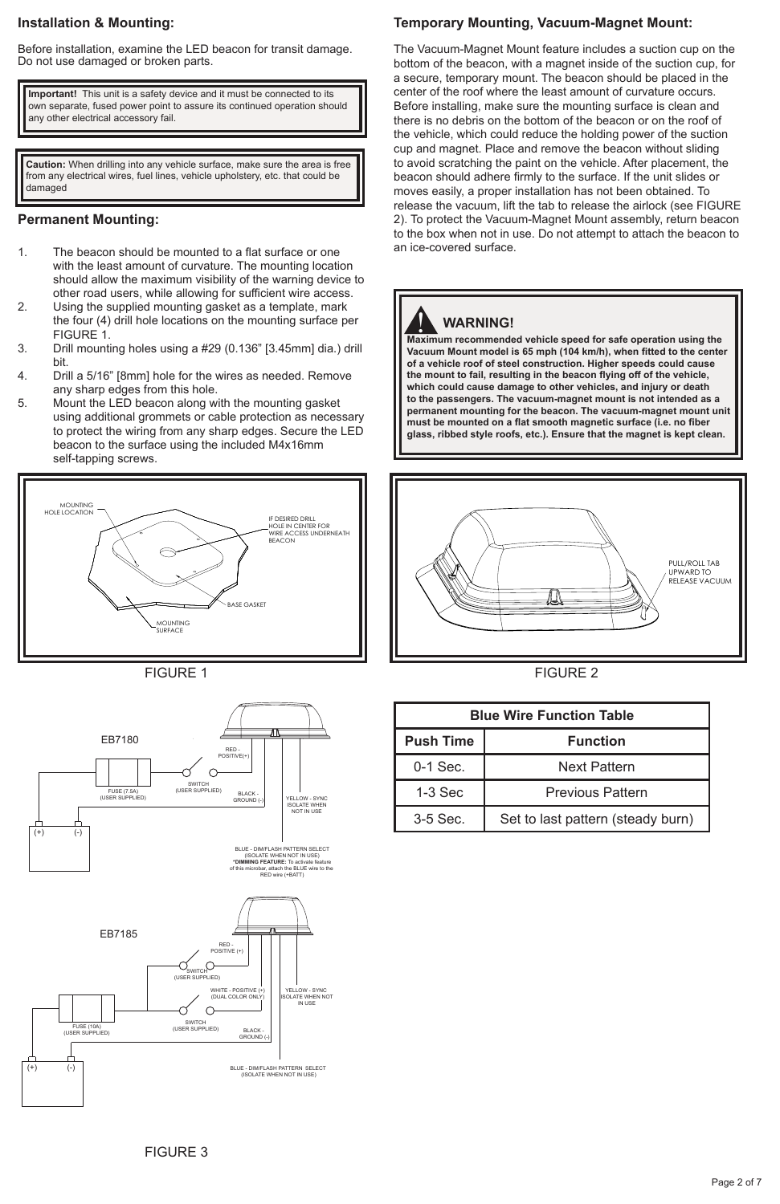#### **Installation & Mounting:**

Before installation, examine the LED beacon for transit damage. Do not use damaged or broken parts.

**Important!** This unit is a safety device and it must be connected to its own separate, fused power point to assure its continued operation should any other electrical accessory fail.

**Caution:** When drilling into any vehicle surface, make sure the area is free from any electrical wires, fuel lines, vehicle upholstery, etc. that could be damaged

#### **Permanent Mounting:**

- 1. The beacon should be mounted to a flat surface or one with the least amount of curvature. The mounting location should allow the maximum visibility of the warning device to other road users, while allowing for sufficient wire access.
- 2. Using the supplied mounting gasket as a template, mark the four (4) drill hole locations on the mounting surface per FIGURE 1.
- 3. Drill mounting holes using a #29 (0.136" [3.45mm] dia.) drill bit.
- 4. Drill a 5/16" [8mm] hole for the wires as needed. Remove any sharp edges from this hole.
- 5. Mount the LED beacon along with the mounting gasket using additional grommets or cable protection as necessary to protect the wiring from any sharp edges. Secure the LED beacon to the surface using the included M4x16mm self-tapping screws.









#### **Temporary Mounting, Vacuum-Magnet Mount:**

The Vacuum-Magnet Mount feature includes a suction cup on the bottom of the beacon, with a magnet inside of the suction cup, for a secure, temporary mount. The beacon should be placed in the center of the roof where the least amount of curvature occurs. Before installing, make sure the mounting surface is clean and there is no debris on the bottom of the beacon or on the roof of the vehicle, which could reduce the holding power of the suction cup and magnet. Place and remove the beacon without sliding to avoid scratching the paint on the vehicle. After placement, the beacon should adhere firmly to the surface. If the unit slides or moves easily, a proper installation has not been obtained. To release the vacuum, lift the tab to release the airlock (see FIGURE 2). To protect the Vacuum-Magnet Mount assembly, return beacon to the box when not in use. Do not attempt to attach the beacon to an ice-covered surface.

# ! **WARNING!**

**Maximum recommended vehicle speed for safe operation using the Vacuum Mount model is 65 mph (104 km/h), when fitted to the center of a vehicle roof of steel construction. Higher speeds could cause the mount to fail, resulting in the beacon flying off of the vehicle, which could cause damage to other vehicles, and injury or death to the passengers. The vacuum-magnet mount is not intended as a permanent mounting for the beacon. The vacuum-magnet mount unit must be mounted on a flat smooth magnetic surface (i.e. no fiber glass, ribbed style roofs, etc.). Ensure that the magnet is kept clean.**



FIGURE 2

|                  | <b>Blue Wire Function Table</b>   |
|------------------|-----------------------------------|
| <b>Push Time</b> | <b>Function</b>                   |
| $0-1$ Sec.       | Next Pattern                      |
| $1-3$ Sec        | <b>Previous Pattern</b>           |
| $3-5$ Sec.       | Set to last pattern (steady burn) |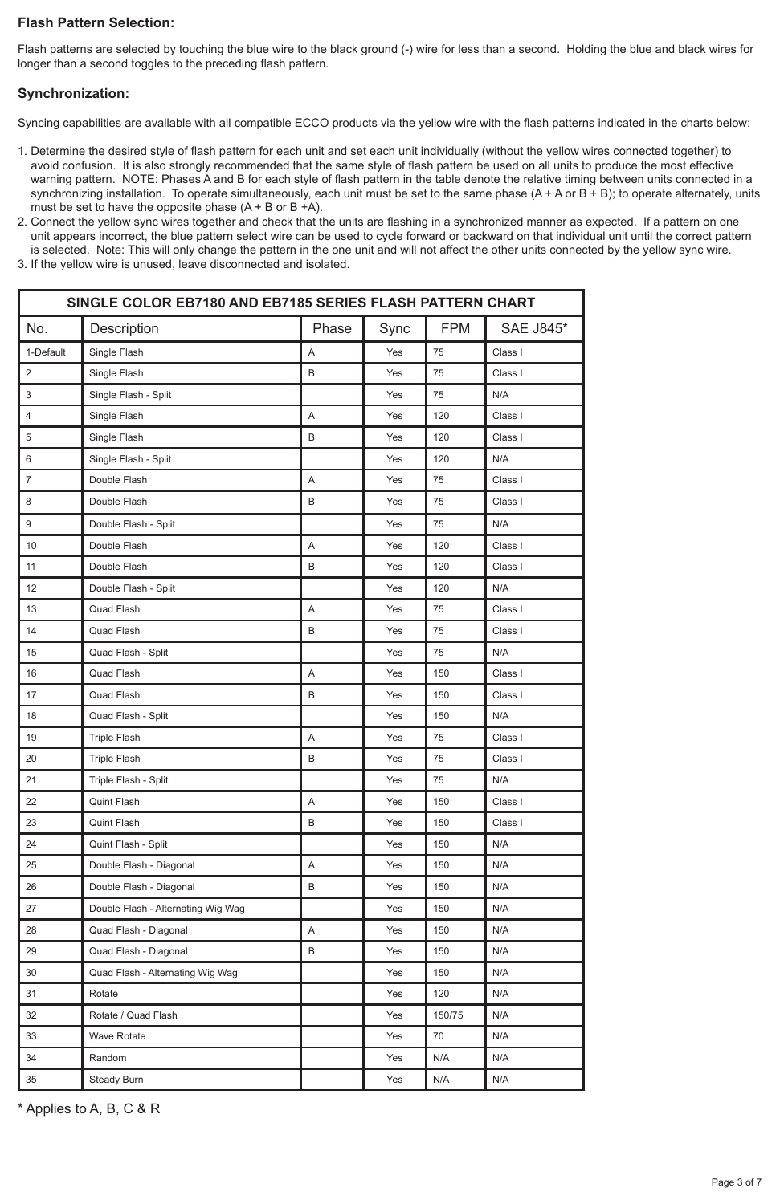#### **Flash Pattern Selection:**

Flash patterns are selected by touching the blue wire to the black ground (-) wire for less than a second. Holding the blue and black wires for longer than a second toggles to the preceding flash pattern.

#### **Synchronization:**

Syncing capabilities are available with all compatible ECCO products via the yellow wire with the flash patterns indicated in the charts below:

- 1. Determine the desired style of flash pattern for each unit and set each unit individually (without the yellow wires connected together) to avoid confusion. It is also strongly recommended that the same style of flash pattern be used on all units to produce the most effective warning pattern. NOTE: Phases A and B for each style of flash pattern in the table denote the relative timing between units connected in a synchronizing installation. To operate simultaneously, each unit must be set to the same phase (A + A or B + B); to operate alternately, units must be set to have the opposite phase  $(A + B$  or  $B + A)$ .
- 2. Connect the yellow sync wires together and check that the units are flashing in a synchronized manner as expected. If a pattern on one unit appears incorrect, the blue pattern select wire can be used to cycle forward or backward on that individual unit until the correct pattern is selected. Note: This will only change the pattern in the one unit and will not affect the other units connected by the yellow sync wire.
- 3. If the yellow wire is unused, leave disconnected and isolated.

|                           | SINGLE COLOR EB7180 AND EB7185 SERIES FLASH PATTERN CHART |       |      |            |                  |
|---------------------------|-----------------------------------------------------------|-------|------|------------|------------------|
| No.                       | Description                                               | Phase | Sync | <b>FPM</b> | <b>SAE J845*</b> |
| 1-Default                 | Single Flash                                              | A     | Yes  | 75         | Class I          |
| $\overline{2}$            | Single Flash                                              | B     | Yes  | 75         | Class I          |
| 3                         | Single Flash - Split                                      |       | Yes  | 75         | N/A              |
| 4                         | Single Flash                                              | A     | Yes  | 120        | Class I          |
| 5                         | Single Flash                                              | B     | Yes  | 120        | Class I          |
| 6                         | Single Flash - Split                                      |       | Yes  | 120        | N/A              |
| $\overline{\mathfrak{c}}$ | Double Flash                                              | A     | Yes  | 75         | Class I          |
| 8                         | Double Flash                                              | B     | Yes  | 75         | Class I          |
| 9                         | Double Flash - Split                                      |       | Yes  | 75         | N/A              |
| 10                        | Double Flash                                              | A     | Yes  | 120        | Class I          |
| 11                        | Double Flash                                              | B     | Yes  | 120        | Class I          |
| 12                        | Double Flash - Split                                      |       | Yes  | 120        | N/A              |
| 13                        | Quad Flash                                                | A     | Yes  | 75         | Class I          |
| 14                        | Quad Flash                                                | B     | Yes  | 75         | Class I          |
| 15                        | Quad Flash - Split                                        |       | Yes  | 75         | N/A              |
| 16                        | Quad Flash                                                | A     | Yes  | 150        | Class I          |
| 17                        | Quad Flash                                                | B     | Yes  | 150        | Class I          |
| 18                        | Quad Flash - Split                                        |       | Yes  | 150        | N/A              |
| 19                        | <b>Triple Flash</b>                                       | A     | Yes  | 75         | Class I          |
| 20                        | <b>Triple Flash</b>                                       | B     | Yes  | 75         | Class I          |
| 21                        | Triple Flash - Split                                      |       | Yes  | 75         | N/A              |
| 22                        | Quint Flash                                               | A     | Yes  | 150        | Class I          |
| 23                        | Quint Flash                                               | B     | Yes  | 150        | Class I          |
| 24                        | Quint Flash - Split                                       |       | Yes  | 150        | N/A              |
| 25                        | Double Flash - Diagonal                                   | A     | Yes  | 150        | N/A              |
| 26                        | Double Flash - Diagonal                                   | B     | Yes  | 150        | N/A              |
| 27                        | Double Flash - Alternating Wig Wag                        |       | Yes  | 150        | N/A              |
| 28                        | Quad Flash - Diagonal                                     | A     | Yes  | 150        | N/A              |
| 29                        | Quad Flash - Diagonal                                     | B     | Yes  | 150        | N/A              |
| 30                        | Quad Flash - Alternating Wig Wag                          |       | Yes  | 150        | N/A              |
| 31                        | Rotate                                                    |       | Yes  | 120        | N/A              |
| 32                        | Rotate / Quad Flash                                       |       | Yes  | 150/75     | N/A              |
| 33                        | <b>Wave Rotate</b>                                        |       | Yes  | 70         | N/A              |
| 34                        | Random                                                    |       | Yes  | N/A        | N/A              |
| 35                        | Steady Burn                                               |       | Yes  | N/A        | N/A              |

\* Applies to A, B, C & R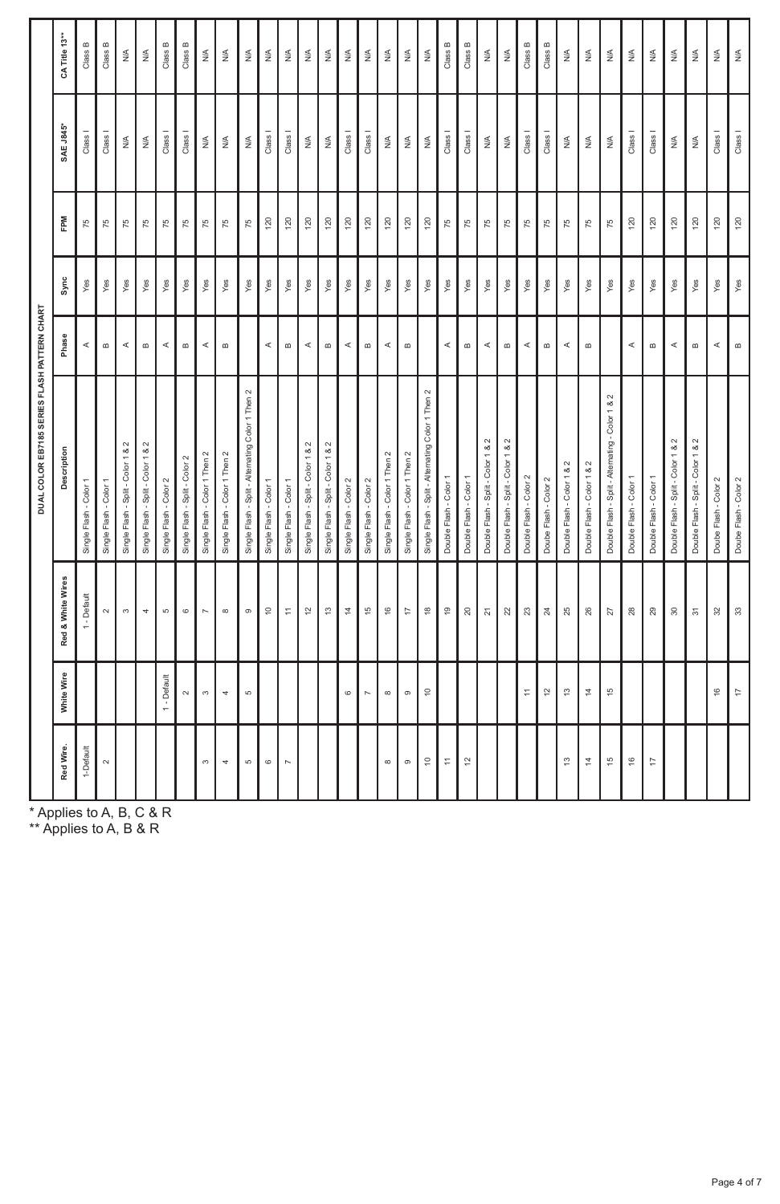|                   |                |                                    | DUAL COLOR EB7185 SERIES FLASH PATTERN CHART      |                                   |      |     |                      |                              |
|-------------------|----------------|------------------------------------|---------------------------------------------------|-----------------------------------|------|-----|----------------------|------------------------------|
| Red Wire.         | White Wire     | Red & White Wires                  | Description                                       | Phase                             | Sync | FPM | <b>SAE J845*</b>     | CA Title 13**                |
| 1-Default         |                | 1 - Default                        | Single Flash - Color 1                            | 4                                 | Yes  | 75  | Class <sub>1</sub>   | Class B                      |
| $\sim$            |                | $\sim$                             | Single Flash - Color 1                            | $\boldsymbol{\underline{\omega}}$ | Yes  | 75  | Class I              | Class B                      |
|                   |                | $_{\rm c0}$                        | Single Flash - Split - Color 1 & 2                | $\prec$                           | Yes  | 75  | $\lessgtr$           | $\frac{\leq}{2}$             |
|                   |                | $\Rightarrow$                      | Single Flash - Split - Color 1 & 2                | $\boldsymbol{\underline{\omega}}$ | Yes  | 75  | $\lessgtr$           | $\stackrel{\leq}{\geq}$      |
|                   | 1 - Default    | S                                  | Single Flash - Color 2                            | $\prec$                           | Yes  | 75  | Class I              | Class B                      |
|                   | $\sim$         | $\circ$                            | Single Flash - Split - Color 2                    | $\,$ $\,$                         | Yes  | 75  | Class I              | Class B                      |
| S                 | $\infty$       | $\overline{\phantom{a}}$           | Single Flash - Color 1 Then 2                     | $\prec$                           | Yes  | 75  | $\lessgtr$           | $\stackrel{\triangle}{\geq}$ |
| ¢                 | ¢              | $\infty$                           | Single Flash - Color 1 Then 2                     | $\omega$                          | Yes  | 75  | ≸                    | N/A                          |
| s                 | to.            | $^\circ$                           | Single Flash - Split - Alternating Color 1 Then 2 |                                   | Yes  | 75  | $\lessgtr$           | $\stackrel{\triangle}{\ge}$  |
| $\circ$           |                | $\mathop{=}^{\circ}$               | Single Flash - Color 1                            | $\prec$                           | Yes  | 120 | Class <sub>1</sub>   | $\frac{4}{2}$                |
| r.                |                | $\overline{\phantom{a}}$           | Single Flash - Color 1                            | $\boldsymbol{\underline{\omega}}$ | Yes  | 120 | Class <sub>1</sub>   | $\stackrel{\leq}{\geq}$      |
|                   |                | $\overline{\omega}$                | Single Flash - Split - Color 1 & 2                | $\prec$                           | Yes  | 120 | $\lessgtr$           | $\stackrel{\leq}{\geq}$      |
|                   |                | $\tilde{\omega}$                   | Single Flash - Split - Color 1 & 2                | $\,$ $\,$                         | Yes  | 120 | $\lessgtr$           | $\stackrel{\leq}{\geq}$      |
|                   | $\circ$        | 4                                  | Single Flash - Color 2                            | $\prec$                           | Yes  | 120 | Class I              | $\stackrel{\leq}{\geq}$      |
|                   | N,             | $\frac{15}{2}$                     | Single Flash - Color 2                            | $\boldsymbol{\underline{\omega}}$ | Yes  | 120 | Class I              | $\stackrel{\leq}{\geq}$      |
| $\infty$          | $\infty$       | $\frac{\omega}{\tau}$              | Single Flash - Color 1 Then 2                     | $\prec$                           | Yes  | 120 | $\lessgtr$           | $\stackrel{\leq}{\geq}$      |
| $\circ$           | $\circ$        | $\overleftrightarrow{\phantom{a}}$ | Single Flash - Color 1 Then 2                     | $\boldsymbol{\underline{\omega}}$ | Yes  | 120 | $\lessgtr$           | $\stackrel{\leq}{\geq}$      |
| ă                 | ă              | $\overset{\circ}{=}$               | Single Flash - Split - Alternating Color 1 Then 2 |                                   | Yes  | 120 | $\lessgtr$           | $\stackrel{\leq}{\geq}$      |
| $\overline{\tau}$ |                | $\overline{\mathbf{e}}$            | Double Flash - Color 1                            | $\prec$                           | Yes  | 75  | Class I              | Class B                      |
| $\overline{c}$    |                | $\rm{^{20}}$                       | Double Flash - Color 1                            | $\boldsymbol{\underline{\omega}}$ | Yes  | 75  | Class <sub>1</sub>   | Class B                      |
|                   |                | $\overline{\mathbf{z}}$            | Double Flash - Split - Color 1 & 2                | $\prec$                           | Yes  | 75  | ≸                    | $\stackrel{\leq}{\geq}$      |
|                   |                | 22                                 | Double Flash - Split - Color 1 & 2                | $\bf{m}$                          | Yes  | 75  | ≸                    | $\stackrel{\leq}{\geq}$      |
|                   | Ξ              | $\mathbb{S}^2$                     | Double Flash - Color 2                            | ⋖                                 | Yes  | 75  | Class I              | Class B                      |
|                   | $\overline{2}$ | $\rm{^{24}}$                       | Doube Flash - Color 2                             | $\Omega$                          | Yes  | 75  | Class I              | Class B                      |
| ä,                | $\frac{3}{2}$  | 25                                 | Double Flash - Color 1 & 2                        | ⋖                                 | Yes  | 75  | $\lessgtr$           | $\frac{\leq}{2}$             |
| 4                 | $\overline{z}$ | $26\,$                             | Double Flash - Color 1 & 2                        | $\,$ $\,$                         | Yes  | 75  | $\lessgtr$           | $\stackrel{\leq}{\geq}$      |
| $\frac{15}{2}$    | $\frac{10}{2}$ | $\sqrt{2}$                         | Double Flash - Split - Alternating - Color 1 & 2  |                                   | Yes  | 75  | $\lessgtr$           | $\stackrel{\leq}{\geq}$      |
| $\frac{6}{2}$     |                | $28$                               | Double Flash - Color 1                            | $\prec$                           | Yes  | 120 | $Class \blacksquare$ | $\stackrel{\leq}{\geq}$      |
| $\overline{1}$    |                | 29                                 | Double Flash - Color 1                            | $\Omega$                          | Yes  | 120 | Class I              | $\frac{\leq}{2}$             |
|                   |                | $\rm S$                            | Double Flash - Split - Color 1 & 2                | $\prec$                           | Yes  | 120 | ş                    | $\stackrel{\leq}{\geq}$      |
|                   |                | $\overline{\mathfrak{S}}$          | Double Flash - Split - Color 1 & 2                | $\bf{m}$                          | Yes  | 120 | $\lessgtr$           | $\stackrel{\leq}{\geq}$      |
|                   | 9              | $32\,$                             | Doube Flash - Color 2                             | $\prec$                           | Yes  | 120 | Class <sub>I</sub>   | $\frac{\leq}{2}$             |
|                   | Ħ              | $\mathfrak{Z}$                     | Doube Flash - Color 2                             | $\omega$                          | Yes  | 120 | Class I              | $\stackrel{\leq}{\geq}$      |

\* Applies to A, B, C & R

\*\* Applies to A, B & R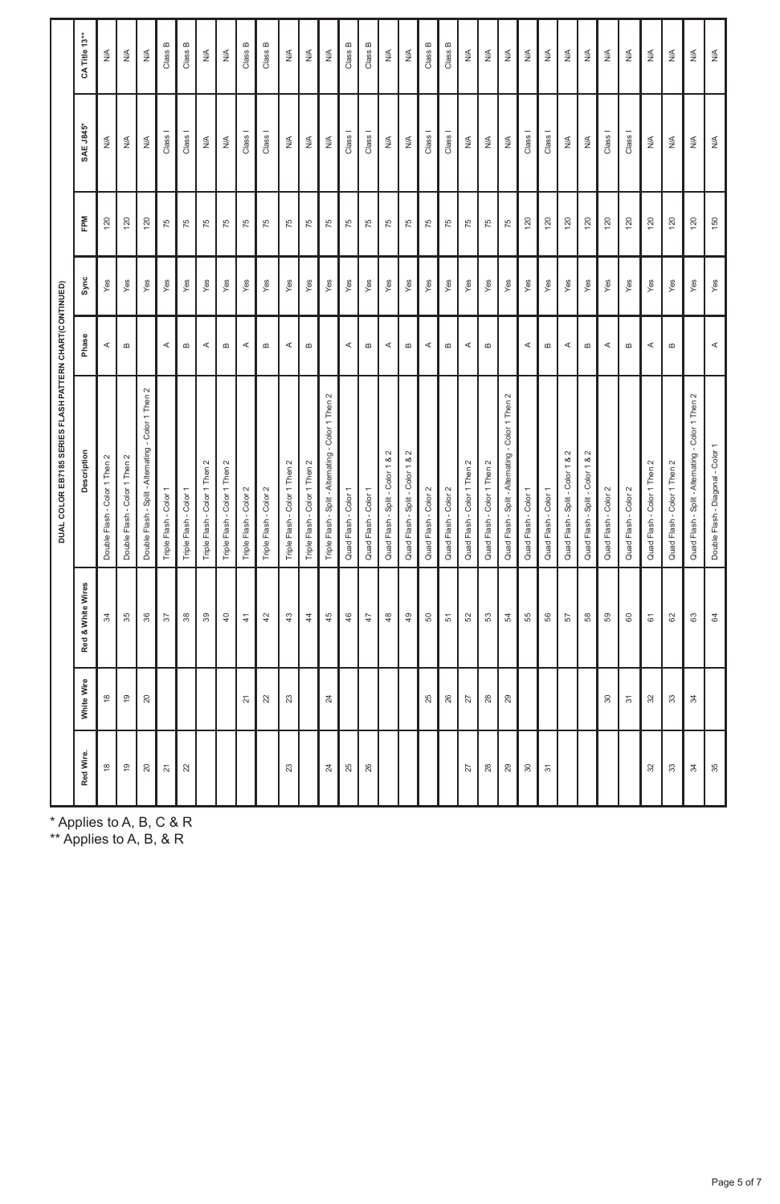|                 |                   | DUAL COLOR EB7185 SERIES FLASH PATTERN CHART(CONTINUED) |                                       |      |     |                    |                         |
|-----------------|-------------------|---------------------------------------------------------|---------------------------------------|------|-----|--------------------|-------------------------|
| White Wire      | Red & White Wires | Description                                             | Phase                                 | Sync | FPM | <b>SAE J845*</b>   | CA Title 13**           |
| $\frac{8}{1}$   | 22                | Double Flash - Color 1 Then 2                           | $\prec$                               | Yes  | 120 | $\lessgtr$         | $\stackrel{\leq}{\geq}$ |
| $\frac{9}{5}$   | 35                | Double Flash - Color 1 Then 2                           | $\omega$                              | Yes  | 120 | $\lessgtr$         | $\stackrel{\leq}{\geq}$ |
| $20$            | 36                | Double Flash - Split-Alternating - Color 1 Then 2       |                                       | Yes  | 120 | $\lessgtr$         | $\stackrel{\leq}{\geq}$ |
|                 | 57                | Triple Flash - Color                                    | $\prec$                               | Yes  | 75  | Class <sub>1</sub> | Class B                 |
|                 | $\frac{8}{2}$     | Triple Flash - Color 1                                  | $\boldsymbol{\underline{\omega}}$     | Yes  | 75  | Class <sub>1</sub> | Class B                 |
|                 | 39                | Triple Flash - Color 1 Then 2                           | $\prec$                               | Yes  | 75  | $\lessgtr$         | $\stackrel{\leq}{\geq}$ |
|                 | $\frac{1}{4}$     | Triple Flash - Color 1 Then 2                           | $\,\mathrm{m}$                        | Yes  | 75  | $\lessgtr$         | $\stackrel{\leq}{\geq}$ |
| $\overline{21}$ | $\frac{4}{3}$     | Triple Flash - Color 2                                  | $\prec$                               | Yes  | 75  | Class <sub>1</sub> | Class B                 |
| 22              | 42                | Triple Flash - Color 2                                  | $\omega$                              | Yes  | 75  | Class <sub>I</sub> | Class B                 |
| $23\,$          | $\mathfrak{a}^2$  | Triple Flash - Color 1 Then 2                           | $\prec$                               | Yes  | 75  | $\lessgtr$         | ≶                       |
|                 | $4\phantom{1}$    | Triple Flash - Color 1 Then 2                           | $\omega$                              | Yes  | 75  | $\lessgtr$         | $\stackrel{\leq}{\geq}$ |
| $^{24}$         | 45                | Triple Flash - Split - Alternating - Color 1 Then 2     |                                       | Yes  | 75  | $\lessgtr$         | $\stackrel{\leq}{\geq}$ |
|                 | 46                | Quad Flash - Color 1                                    | $\prec$                               | Yes  | 75  | Class <sub>1</sub> | Class B                 |
|                 | 47                | Quad Flash - Color 1                                    | $\bf{m}$                              | Yes  | 75  | Class I            | Class B                 |
|                 | $\frac{48}{5}$    | Quad Flash - Split - Color 1 & 2                        | $\prec$                               | Yes  | 75  | $\lessgtr$         | $\stackrel{\leq}{\geq}$ |
|                 | 49                | Quad Flash - Split - Color 1 & 2                        | $\omega$                              | Yes  | 75  | $\lessgtr$         | $\frac{\epsilon}{2}$    |
| 25              | S                 | Quad Flash - Color 2                                    | $\prec$                               | Yes  | 75  | Class <sub>1</sub> | Class B                 |
| 26              | 5                 | Quad Flash - Color 2                                    | $\boldsymbol{\underline{\omega}}$     | Yes  | 75  | Class I            | Class B                 |
| $\overline{27}$ | 52                | Quad Flash - Color 1 Then 2                             | $\prec$                               | Yes  | 75  | $\lessgtr$         | $\stackrel{\leq}{\geq}$ |
| 28              | S3                | Quad Flash - Color 1 Then 2                             | $\bf{m}$                              | Yes  | 75  | $\lessgtr$         | $\frac{8}{2}$           |
| 29              | 3                 | Quad Flash - Split - Alternating - Color 1 Then 2       |                                       | Yes  | 75  | $\lessgtr$         | $\frac{4}{2}$           |
|                 | 55                | Quad Flash - Color 1                                    | A                                     | Yes  | 120 | Class I            | $\stackrel{\leq}{\geq}$ |
|                 | 56                | Quad Flash - Color 1                                    | $\boldsymbol{\underline{\mathrm{m}}}$ | Yes  | 120 | Class <sub>I</sub> | $\stackrel{\leq}{\geq}$ |
|                 | 57                | Quad Flash - Split - Color 1 & 2                        | $\prec$                               | Yes  | 120 | $\lessgtr$         | $\stackrel{\leq}{\geq}$ |
|                 | 58                | Quad Flash - Split - Color 1 & 2                        | $\boldsymbol{\underline{\mathrm{m}}}$ | Yes  | 120 | $\lessgtr$         | $\frac{1}{2}$           |
| $\rm{S}$        | 59                | Quad Flash - Color 2                                    | $\prec$                               | Yes  | 120 | Class I            | $\frac{4}{2}$           |
| 55              | $\mathbb S$       | Quad Flash - Color 2                                    | $\boldsymbol{\underline{\omega}}$     | Yes  | 120 | Class I            | $\frac{4}{2}$           |
| 32              | $\overline{6}$    | Quad Flash - Color 1 Then 2                             | $\prec$                               | Yes  | 120 | ş                  | $\frac{8}{2}$           |
| 33              | 62                | Quad Flash - Color 1 Then 2                             | $\,$ $\,$                             | Yes  | 120 | $\lessgtr$         | $\stackrel{\leq}{\geq}$ |
| 22              | 3                 | Quad Flash - Split - Alternating - Color 1 Then 2       |                                       | Yes  | 120 | $\lessgtr$         | $\stackrel{\leq}{\geq}$ |
|                 | \$                | Double Flash - Diagonal - Color 1                       | $\prec$                               | Yes  | 150 | $\lessgtr$         | $\stackrel{\leq}{\geq}$ |

\* Applies to A, B, C & R

\*\* Applies to A, B, & R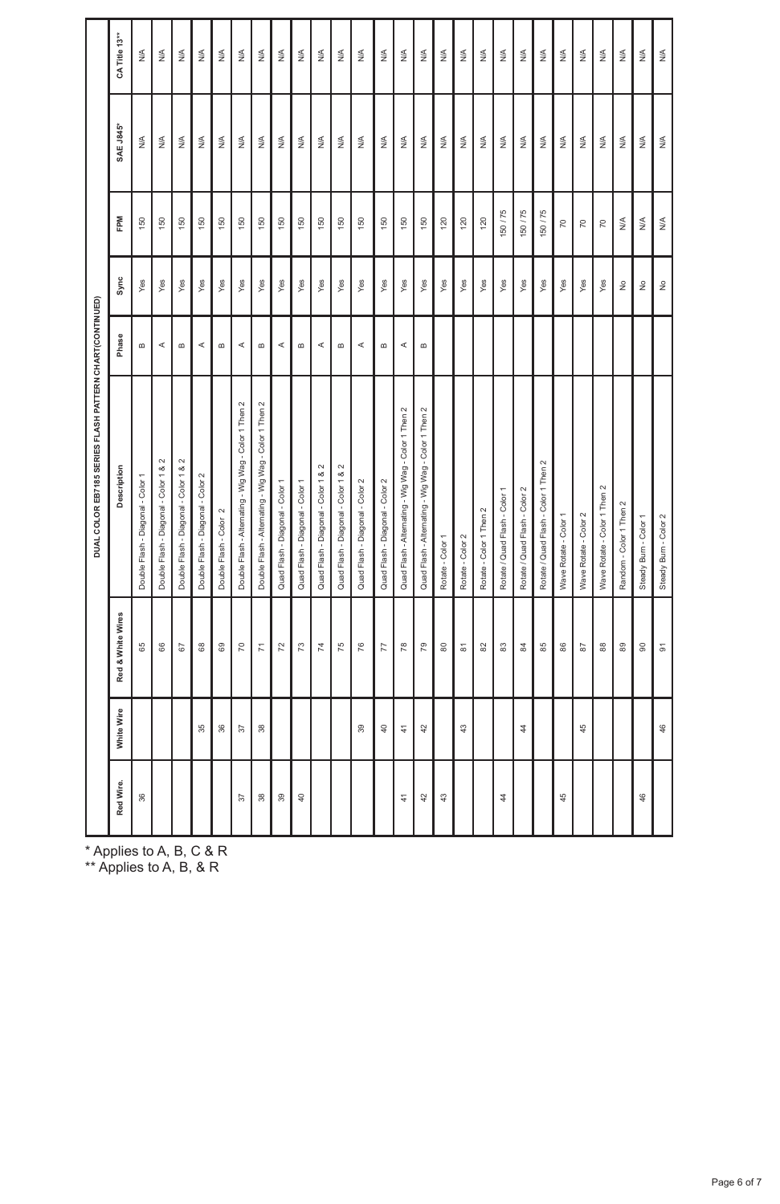|                 |                |                          | DUAL COLOR EB7185 SERIES FLASH PATTERN CHART(CONTINUED) |              |                       |               |                  |                              |
|-----------------|----------------|--------------------------|---------------------------------------------------------|--------------|-----------------------|---------------|------------------|------------------------------|
| Red Wire.       | White Wire     | Red & White Wires        | Description                                             | Phase        | Sync                  | FPM           | <b>SAE J845*</b> | CATitle 13**                 |
| 36              |                | 65                       | Double Flash - Diagonal - Color 1                       | $\mathbf{r}$ | Yes                   | 150           | $\lessgtr$       | $\frac{4}{2}$                |
|                 |                | 88                       | Double Flash - Diagonal - Color 1 & 2                   | $\prec$      | Yes                   | 150           | ⋚                | $\frac{4}{2}$                |
|                 |                | $67\,$                   | Double Flash - Diagonal - Color 1 & 2                   | $\mathbf{r}$ | Yes                   | 150           | ⋚                | $\frac{4}{2}$                |
|                 | 35             | $^{\circ}_{\circ}$       | Double Flash - Diagonal - Color 2                       | ⋖            | Yes                   | 150           | ⋚                | $\stackrel{\leq}{\geq}$      |
|                 | 36             | 69                       | Double Flash - Color 2                                  | $\mathbf{r}$ | Yes                   | 150           | ≸                | $\frac{4}{2}$                |
| 22              | 22             | $\mathcal{L}$            | Double Flash - Alternating - Wig Wag - Color 1 Then 2   | $\prec$      | Yes                   | 150           | ⋚                | $\frac{1}{2}$                |
| 38              | 38             | $\overline{z}$           | Double Flash - Alternating - Wig Wag - Color 1 Then 2   | $\mathbf{r}$ | Yes                   | 150           | $\lessgtr$       | $\frac{4}{2}$                |
| $\overline{39}$ |                | $\overline{72}$          | Quad Flash - Diagonal - Color 1                         | $\prec$      | Yes                   | 150           | ⋚                | $\frac{4}{2}$                |
| $\frac{40}{5}$  |                | 73                       | Quad Flash - Diagonal - Color 1                         | m            | Yes                   | 150           | ⋚                | $\frac{4}{2}$                |
|                 |                | 74                       | Quad Flash - Diagonal - Color 1 & 2                     | ⋖            | Yes                   | 150           | ≸                | $\frac{1}{2}$                |
|                 |                | 75                       | Quad Flash - Diagonal - Color 1 & 2                     | $\omega$     | Yes                   | 150           | $\lessgtr$       | $\frac{4}{2}$                |
|                 | 99             | 76                       | Quad Flash - Diagonal - Color 2                         | K            | Yes                   | 150           | ≸                | $\frac{4}{2}$                |
|                 | å              | 77                       | Quad Flash - Diagonal - Color 2                         | $\mathbf{m}$ | Yes                   | 150           | ≸                | $\frac{4}{2}$                |
| 4               | $\frac{4}{3}$  | 78                       | Quad Flash - Alternating - Wig Wag - Color 1 Then 2     | $\prec$      | Yes                   | 150           | $\lessgtr$       | $\frac{4}{2}$                |
| 42              | $\overline{a}$ | 79                       | Quad Flash - Alternating - Wig Wag - Color 1 Then 2     | $\mathbf{u}$ | Yes                   | 150           | ⋚                | $\frac{4}{2}$                |
| $\frac{3}{4}$   |                | $\mathbb S$              | Rotate - Color 1                                        |              | Yes                   | 120           | $\lessgtr$       | $\frac{4}{2}$                |
|                 | 43             | $\overline{\textrm{so}}$ | Rotate - Color 2                                        |              | Yes                   | 120           | ⋚                | $\stackrel{\leq}{\geq}$      |
|                 |                | $_{\rm 82}$              | Rotate - Color 1 Then 2                                 |              | Yes                   | 120           | ⋚                | $\frac{\leq}{2}$             |
| 4               |                | $\mathbbm{S}$            | Rotate / Quad Flash - Color 1                           |              | Yes                   | 150/75        | $\lessgtr$       | $\frac{4}{2}$                |
|                 | 4              | 2                        | Rotate / Quad Flash - Color 2                           |              | Yes                   | 150 / 75      | ⋚                | $\frac{4}{2}$                |
|                 |                | 85                       | Rotate / Quad Flash - Color 1 Then 2                    |              | Yes                   | 150/75        | $\lessgtr$       | $\frac{4}{2}$                |
| 45              |                | $86$                     | Wave Rotate - Color 1                                   |              | Yes                   | 5             | $\lessgtr$       | $\frac{4}{2}$                |
|                 | 45             | $\overline{\phantom{a}}$ | Wave Rotate - Color 2                                   |              | Yes                   | $\approx$     | $\lessgtr$       | $\frac{4}{2}$                |
|                 |                | $\mathbbmss{8}$          | Wave Rotate - Color 1 Then 2                            |              | Yes                   | $\approx$     | $\lessgtr$       | $\frac{4}{2}$                |
|                 |                | $\mathbf{3}$             | Random - Color 1 Then 2                                 |              | $\hat{z}$             | $\frac{4}{2}$ | $\lessgtr$       | $\frac{\leq}{2}$             |
| 46              |                | $\scriptstyle\rm 8$      | Steady Burn - Color 1                                   |              | $\hat{z}$             | $\lessgtr$    | $\lessgtr$       | $\frac{\leq}{2}$             |
|                 | $\frac{6}{4}$  | $\overline{5}$           | Steady Burn - Color 2                                   |              | $\hat{\underline{z}}$ | ≸             | $\lessgtr$       | $\stackrel{\triangle}{\geq}$ |

\* Applies to A, B, C & R

\*\* Applies to A, B, & R